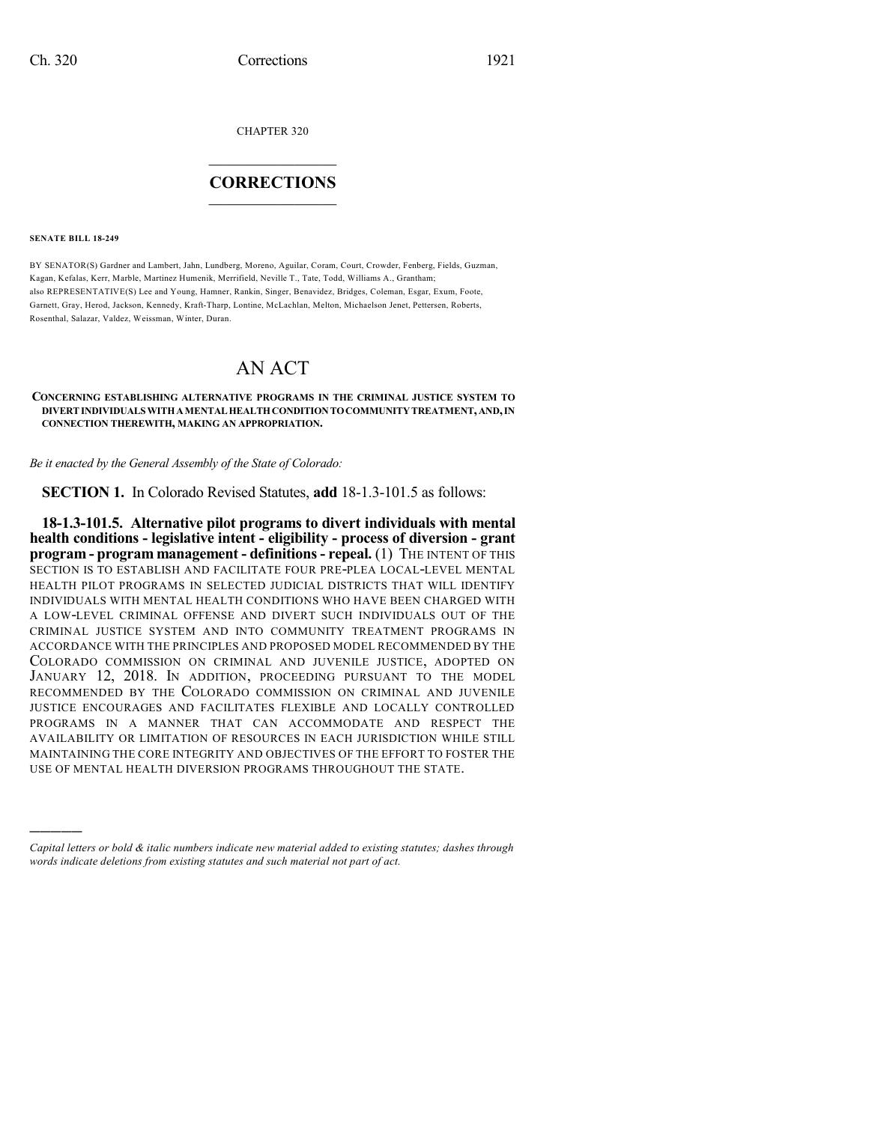CHAPTER 320

## $\overline{\phantom{a}}$  . The set of the set of the set of the set of the set of the set of the set of the set of the set of the set of the set of the set of the set of the set of the set of the set of the set of the set of the set o **CORRECTIONS**  $\frac{1}{2}$  ,  $\frac{1}{2}$  ,  $\frac{1}{2}$  ,  $\frac{1}{2}$  ,  $\frac{1}{2}$  ,  $\frac{1}{2}$

**SENATE BILL 18-249**

)))))

BY SENATOR(S) Gardner and Lambert, Jahn, Lundberg, Moreno, Aguilar, Coram, Court, Crowder, Fenberg, Fields, Guzman, Kagan, Kefalas, Kerr, Marble, Martinez Humenik, Merrifield, Neville T., Tate, Todd, Williams A., Grantham; also REPRESENTATIVE(S) Lee and Young, Hamner, Rankin, Singer, Benavidez, Bridges, Coleman, Esgar, Exum, Foote, Garnett, Gray, Herod, Jackson, Kennedy, Kraft-Tharp, Lontine, McLachlan, Melton, Michaelson Jenet, Pettersen, Roberts, Rosenthal, Salazar, Valdez, Weissman, Winter, Duran.

# AN ACT

#### **CONCERNING ESTABLISHING ALTERNATIVE PROGRAMS IN THE CRIMINAL JUSTICE SYSTEM TO DIVERTINDIVIDUALS WITHAMENTALHEALTHCONDITION TOCOMMUNITYTREATMENT,AND,IN CONNECTION THEREWITH, MAKING AN APPROPRIATION.**

*Be it enacted by the General Assembly of the State of Colorado:*

**SECTION 1.** In Colorado Revised Statutes, **add** 18-1.3-101.5 as follows:

**18-1.3-101.5. Alternative pilot programs to divert individuals with mental health conditions - legislative intent - eligibility - process of diversion - grant program - program management - definitions- repeal.** (1) THE INTENT OF THIS SECTION IS TO ESTABLISH AND FACILITATE FOUR PRE-PLEA LOCAL-LEVEL MENTAL HEALTH PILOT PROGRAMS IN SELECTED JUDICIAL DISTRICTS THAT WILL IDENTIFY INDIVIDUALS WITH MENTAL HEALTH CONDITIONS WHO HAVE BEEN CHARGED WITH A LOW-LEVEL CRIMINAL OFFENSE AND DIVERT SUCH INDIVIDUALS OUT OF THE CRIMINAL JUSTICE SYSTEM AND INTO COMMUNITY TREATMENT PROGRAMS IN ACCORDANCE WITH THE PRINCIPLES AND PROPOSED MODEL RECOMMENDED BY THE COLORADO COMMISSION ON CRIMINAL AND JUVENILE JUSTICE, ADOPTED ON JANUARY 12, 2018. IN ADDITION, PROCEEDING PURSUANT TO THE MODEL RECOMMENDED BY THE COLORADO COMMISSION ON CRIMINAL AND JUVENILE JUSTICE ENCOURAGES AND FACILITATES FLEXIBLE AND LOCALLY CONTROLLED PROGRAMS IN A MANNER THAT CAN ACCOMMODATE AND RESPECT THE AVAILABILITY OR LIMITATION OF RESOURCES IN EACH JURISDICTION WHILE STILL MAINTAINING THE CORE INTEGRITY AND OBJECTIVES OF THE EFFORT TO FOSTER THE USE OF MENTAL HEALTH DIVERSION PROGRAMS THROUGHOUT THE STATE.

*Capital letters or bold & italic numbers indicate new material added to existing statutes; dashes through words indicate deletions from existing statutes and such material not part of act.*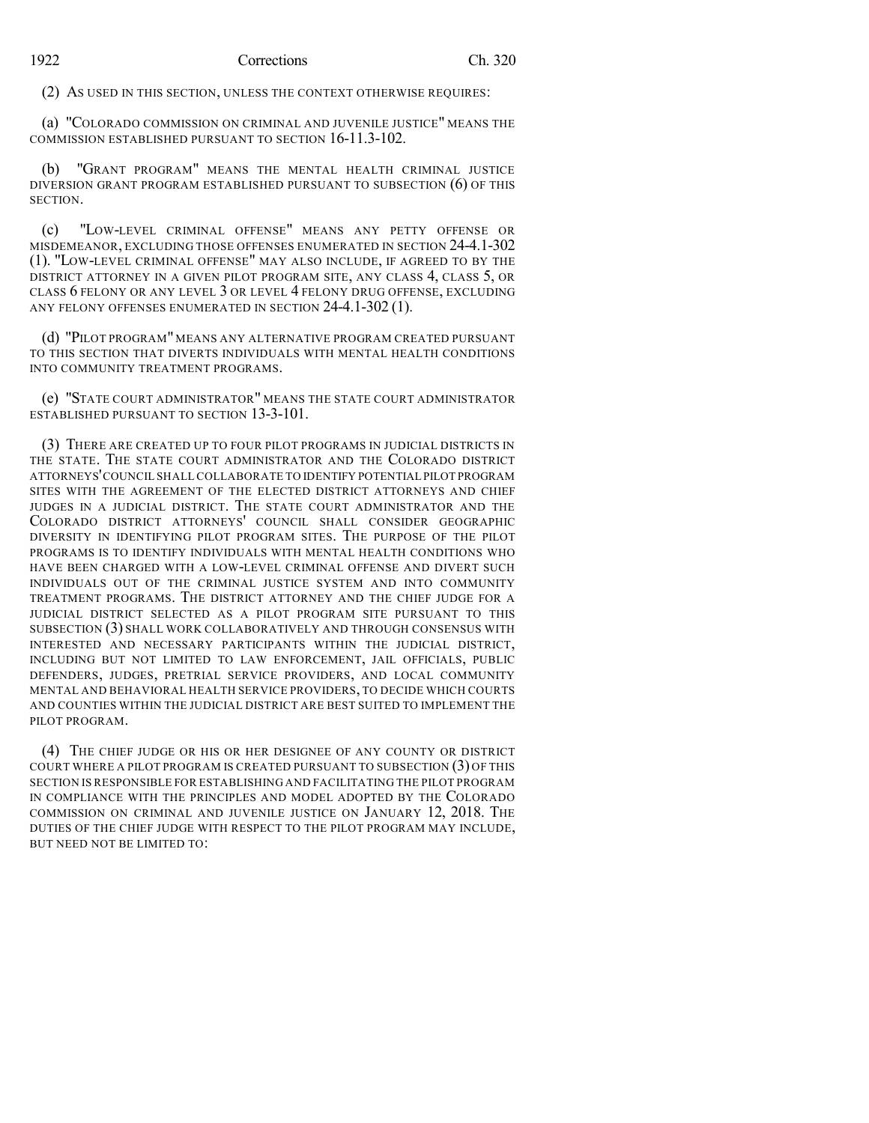### 1922 Corrections Ch. 320

(2) AS USED IN THIS SECTION, UNLESS THE CONTEXT OTHERWISE REQUIRES:

(a) "COLORADO COMMISSION ON CRIMINAL AND JUVENILE JUSTICE" MEANS THE COMMISSION ESTABLISHED PURSUANT TO SECTION 16-11.3-102.

(b) "GRANT PROGRAM" MEANS THE MENTAL HEALTH CRIMINAL JUSTICE DIVERSION GRANT PROGRAM ESTABLISHED PURSUANT TO SUBSECTION (6) OF THIS SECTION.

(c) "LOW-LEVEL CRIMINAL OFFENSE" MEANS ANY PETTY OFFENSE OR MISDEMEANOR, EXCLUDING THOSE OFFENSES ENUMERATED IN SECTION 24-4.1-302 (1). "LOW-LEVEL CRIMINAL OFFENSE" MAY ALSO INCLUDE, IF AGREED TO BY THE DISTRICT ATTORNEY IN A GIVEN PILOT PROGRAM SITE, ANY CLASS 4, CLASS 5, OR CLASS 6 FELONY OR ANY LEVEL 3 OR LEVEL 4 FELONY DRUG OFFENSE, EXCLUDING ANY FELONY OFFENSES ENUMERATED IN SECTION 24-4.1-302 (1).

(d) "PILOT PROGRAM" MEANS ANY ALTERNATIVE PROGRAM CREATED PURSUANT TO THIS SECTION THAT DIVERTS INDIVIDUALS WITH MENTAL HEALTH CONDITIONS INTO COMMUNITY TREATMENT PROGRAMS.

(e) "STATE COURT ADMINISTRATOR" MEANS THE STATE COURT ADMINISTRATOR ESTABLISHED PURSUANT TO SECTION 13-3-101.

(3) THERE ARE CREATED UP TO FOUR PILOT PROGRAMS IN JUDICIAL DISTRICTS IN THE STATE. THE STATE COURT ADMINISTRATOR AND THE COLORADO DISTRICT ATTORNEYS'COUNCIL SHALL COLLABORATE TO IDENTIFY POTENTIAL PILOT PROGRAM SITES WITH THE AGREEMENT OF THE ELECTED DISTRICT ATTORNEYS AND CHIEF JUDGES IN A JUDICIAL DISTRICT. THE STATE COURT ADMINISTRATOR AND THE COLORADO DISTRICT ATTORNEYS' COUNCIL SHALL CONSIDER GEOGRAPHIC DIVERSITY IN IDENTIFYING PILOT PROGRAM SITES. THE PURPOSE OF THE PILOT PROGRAMS IS TO IDENTIFY INDIVIDUALS WITH MENTAL HEALTH CONDITIONS WHO HAVE BEEN CHARGED WITH A LOW-LEVEL CRIMINAL OFFENSE AND DIVERT SUCH INDIVIDUALS OUT OF THE CRIMINAL JUSTICE SYSTEM AND INTO COMMUNITY TREATMENT PROGRAMS. THE DISTRICT ATTORNEY AND THE CHIEF JUDGE FOR A JUDICIAL DISTRICT SELECTED AS A PILOT PROGRAM SITE PURSUANT TO THIS SUBSECTION (3) SHALL WORK COLLABORATIVELY AND THROUGH CONSENSUS WITH INTERESTED AND NECESSARY PARTICIPANTS WITHIN THE JUDICIAL DISTRICT, INCLUDING BUT NOT LIMITED TO LAW ENFORCEMENT, JAIL OFFICIALS, PUBLIC DEFENDERS, JUDGES, PRETRIAL SERVICE PROVIDERS, AND LOCAL COMMUNITY MENTAL AND BEHAVIORAL HEALTH SERVICE PROVIDERS, TO DECIDE WHICH COURTS AND COUNTIES WITHIN THE JUDICIAL DISTRICT ARE BEST SUITED TO IMPLEMENT THE PILOT PROGRAM.

(4) THE CHIEF JUDGE OR HIS OR HER DESIGNEE OF ANY COUNTY OR DISTRICT COURT WHERE A PILOT PROGRAM IS CREATED PURSUANT TO SUBSECTION (3) OF THIS SECTION IS RESPONSIBLE FOR ESTABLISHING AND FACILITATING THE PILOT PROGRAM IN COMPLIANCE WITH THE PRINCIPLES AND MODEL ADOPTED BY THE COLORADO COMMISSION ON CRIMINAL AND JUVENILE JUSTICE ON JANUARY 12, 2018. THE DUTIES OF THE CHIEF JUDGE WITH RESPECT TO THE PILOT PROGRAM MAY INCLUDE, BUT NEED NOT BE LIMITED TO: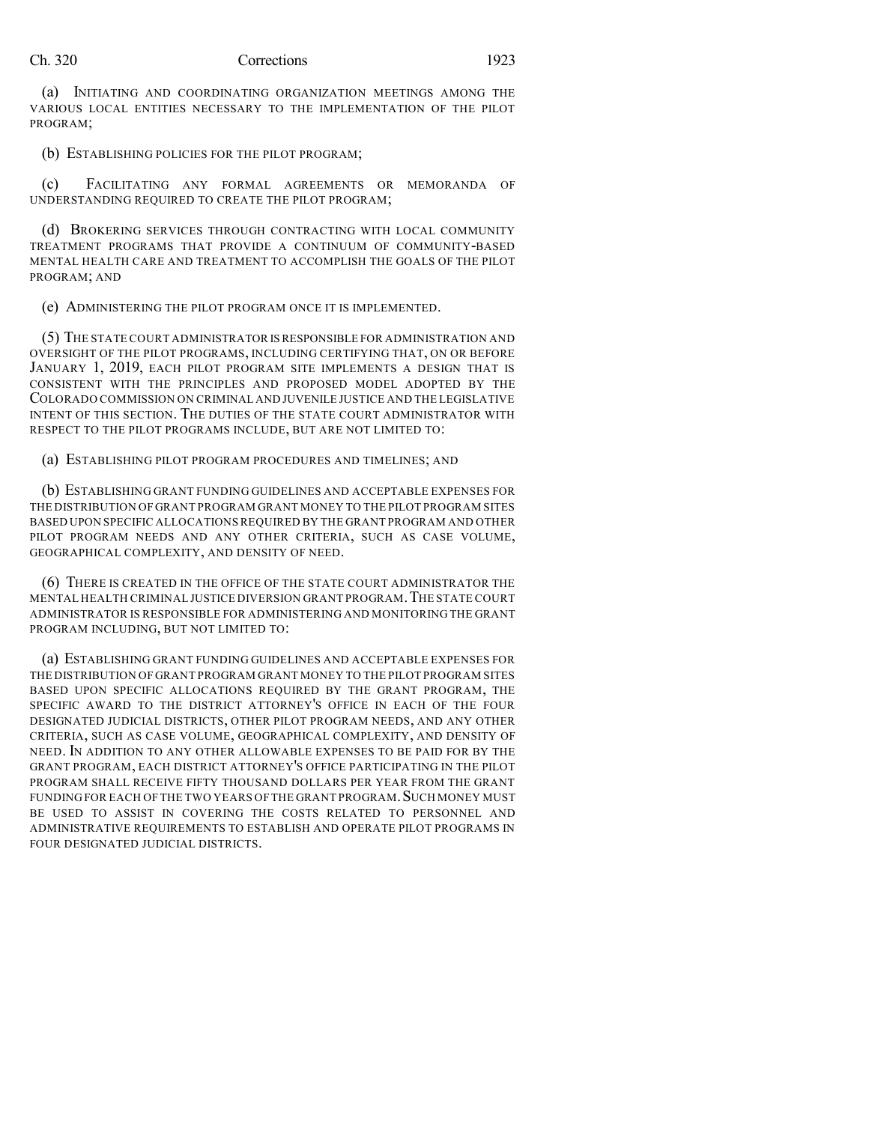(a) INITIATING AND COORDINATING ORGANIZATION MEETINGS AMONG THE VARIOUS LOCAL ENTITIES NECESSARY TO THE IMPLEMENTATION OF THE PILOT PROGRAM;

(b) ESTABLISHING POLICIES FOR THE PILOT PROGRAM;

(c) FACILITATING ANY FORMAL AGREEMENTS OR MEMORANDA OF UNDERSTANDING REQUIRED TO CREATE THE PILOT PROGRAM;

(d) BROKERING SERVICES THROUGH CONTRACTING WITH LOCAL COMMUNITY TREATMENT PROGRAMS THAT PROVIDE A CONTINUUM OF COMMUNITY-BASED MENTAL HEALTH CARE AND TREATMENT TO ACCOMPLISH THE GOALS OF THE PILOT PROGRAM; AND

(e) ADMINISTERING THE PILOT PROGRAM ONCE IT IS IMPLEMENTED.

(5) THE STATE COURT ADMINISTRATOR ISRESPONSIBLE FOR ADMINISTRATION AND OVERSIGHT OF THE PILOT PROGRAMS, INCLUDING CERTIFYING THAT, ON OR BEFORE JANUARY 1, 2019, EACH PILOT PROGRAM SITE IMPLEMENTS A DESIGN THAT IS CONSISTENT WITH THE PRINCIPLES AND PROPOSED MODEL ADOPTED BY THE COLORADO COMMISSION ON CRIMINAL AND JUVENILE JUSTICE AND THE LEGISLATIVE INTENT OF THIS SECTION. THE DUTIES OF THE STATE COURT ADMINISTRATOR WITH RESPECT TO THE PILOT PROGRAMS INCLUDE, BUT ARE NOT LIMITED TO:

(a) ESTABLISHING PILOT PROGRAM PROCEDURES AND TIMELINES; AND

(b) ESTABLISHING GRANT FUNDING GUIDELINES AND ACCEPTABLE EXPENSES FOR THE DISTRIBUTION OF GRANT PROGRAM GRANT MONEY TO THE PILOT PROGRAM SITES BASED UPON SPECIFIC ALLOCATIONS REQUIRED BY THE GRANT PROGRAM AND OTHER PILOT PROGRAM NEEDS AND ANY OTHER CRITERIA, SUCH AS CASE VOLUME, GEOGRAPHICAL COMPLEXITY, AND DENSITY OF NEED.

(6) THERE IS CREATED IN THE OFFICE OF THE STATE COURT ADMINISTRATOR THE MENTAL HEALTH CRIMINAL JUSTICE DIVERSION GRANT PROGRAM.THE STATE COURT ADMINISTRATOR IS RESPONSIBLE FOR ADMINISTERING AND MONITORING THE GRANT PROGRAM INCLUDING, BUT NOT LIMITED TO:

(a) ESTABLISHING GRANT FUNDING GUIDELINES AND ACCEPTABLE EXPENSES FOR THE DISTRIBUTION OF GRANT PROGRAM GRANT MONEY TO THE PILOT PROGRAM SITES BASED UPON SPECIFIC ALLOCATIONS REQUIRED BY THE GRANT PROGRAM, THE SPECIFIC AWARD TO THE DISTRICT ATTORNEY'S OFFICE IN EACH OF THE FOUR DESIGNATED JUDICIAL DISTRICTS, OTHER PILOT PROGRAM NEEDS, AND ANY OTHER CRITERIA, SUCH AS CASE VOLUME, GEOGRAPHICAL COMPLEXITY, AND DENSITY OF NEED. IN ADDITION TO ANY OTHER ALLOWABLE EXPENSES TO BE PAID FOR BY THE GRANT PROGRAM, EACH DISTRICT ATTORNEY'S OFFICE PARTICIPATING IN THE PILOT PROGRAM SHALL RECEIVE FIFTY THOUSAND DOLLARS PER YEAR FROM THE GRANT FUNDING FOR EACH OF THE TWO YEARS OF THE GRANT PROGRAM. SUCH MONEY MUST BE USED TO ASSIST IN COVERING THE COSTS RELATED TO PERSONNEL AND ADMINISTRATIVE REQUIREMENTS TO ESTABLISH AND OPERATE PILOT PROGRAMS IN FOUR DESIGNATED JUDICIAL DISTRICTS.